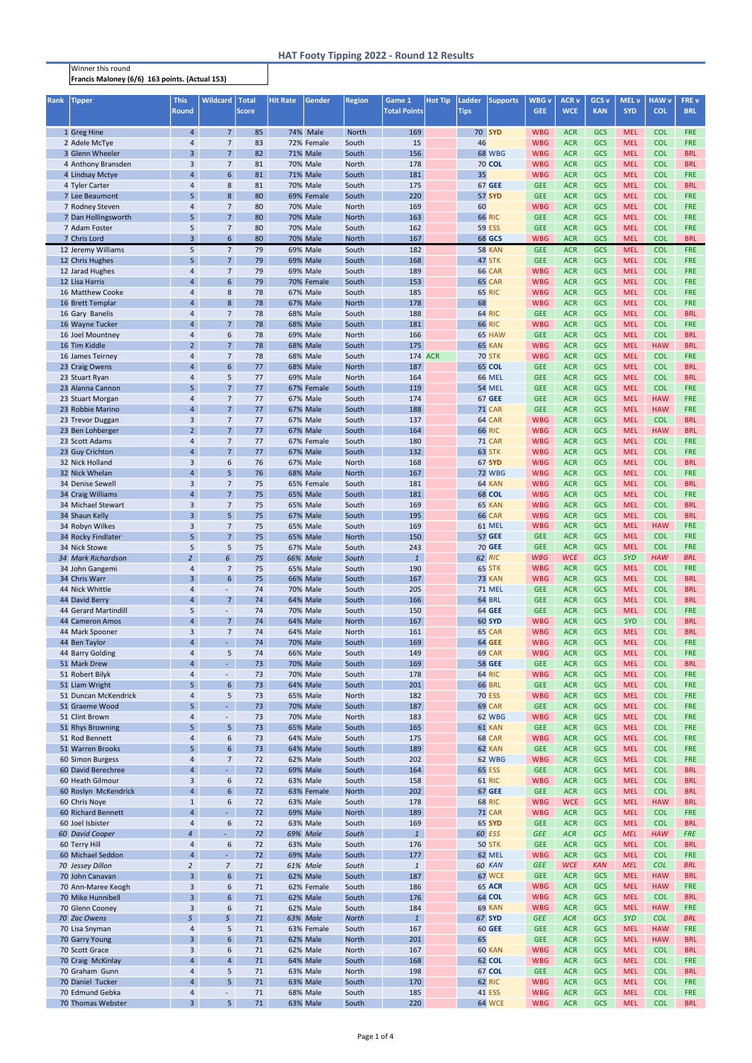Francis Maloney (6/6) 163 points. (Actual 153)

| <b>Rank</b> | <b>Tipper</b>                          | <b>This</b><br><b>Round</b>      | <b>Wildcard</b>                  | Total<br><b>Score</b> | <b>Hit Rate</b> | Gender                      | <b>Region</b>                | Game 1<br><b>Total Points</b> | <b>Hot Tip</b> | <b>Ladder</b><br><b>Tips</b> | <b>Supports</b>                | <b>WBG</b> v<br><b>GEE</b> | <b>ACR v</b><br><b>WCE</b> | <b>GCS v</b><br><b>KAN</b> | <b>MEL v</b><br><b>SYD</b> | <b>HAW v</b><br><b>COL</b> | FRE v<br><b>BRL</b>      |
|-------------|----------------------------------------|----------------------------------|----------------------------------|-----------------------|-----------------|-----------------------------|------------------------------|-------------------------------|----------------|------------------------------|--------------------------------|----------------------------|----------------------------|----------------------------|----------------------------|----------------------------|--------------------------|
|             | 1 Greg Hine                            | $\overline{4}$                   | 7 <sup>1</sup>                   | 85                    |                 | 74% Male                    | <b>North</b>                 | 169                           |                |                              | <b>70 SYD</b>                  | <b>WBG</b>                 | <b>ACR</b>                 | <b>GCS</b>                 | <b>MEL</b>                 | <b>COL</b>                 | <b>FRE</b>               |
|             | 2 Adele McTye                          | $\overline{4}$                   | $\overline{7}$                   | 83                    |                 | 72% Female                  | South                        | 15                            |                | 46                           |                                | <b>WBG</b>                 | <b>ACR</b>                 | GCS                        | <b>MEL</b>                 | <b>COL</b>                 | <b>FRE</b>               |
|             | 3 Glenn Wheeler                        | $\overline{3}$                   | 7 <sup>1</sup>                   | 82                    |                 | <b>71% Male</b>             | South                        | 156                           |                |                              | <b>68 WBG</b>                  | <b>WBG</b>                 | <b>ACR</b>                 | GCS                        | <b>MEL</b>                 | <b>COL</b>                 | <b>BRL</b>               |
|             | 4 Anthony Bransden                     | 3                                | $\overline{7}$                   | 81                    |                 | 70% Male                    | <b>North</b>                 | 178                           |                |                              | <b>70 COL</b>                  | <b>WBG</b>                 | <b>ACR</b>                 | GCS                        | <b>MEL</b>                 | <b>COL</b>                 | <b>BRL</b>               |
|             | 4 Lindsay Mctye                        | $\overline{4}$                   | $6\phantom{a}$                   | 81                    |                 | 71% Male                    | South                        | 181                           |                | 35                           |                                | <b>WBG</b>                 | <b>ACR</b>                 | GCS                        | <b>MEL</b>                 | <b>COL</b>                 | <b>FRE</b>               |
|             | 4 Tyler Carter                         | 4                                | 8                                | 81                    |                 | 70% Male                    | South                        | 175                           |                |                              | 67 GEE                         | <b>GEE</b>                 | <b>ACR</b>                 | GCS                        | <b>MEL</b>                 | <b>COL</b>                 | <b>BRL</b>               |
|             | 7 Lee Beaumont                         | 5                                | 8                                | 80                    |                 | 69% Female                  | South                        | 220                           |                |                              | <b>57 SYD</b>                  | <b>GEE</b>                 | <b>ACR</b>                 | GCS                        | <b>MEL</b>                 | <b>COL</b>                 | <b>FRE</b>               |
|             | 7 Rodney Steven                        | 4<br>5 <sup>5</sup>              | $\overline{7}$<br>7 <sup>1</sup> | 80<br>80              |                 | 70% Male<br><b>70% Male</b> | <b>North</b><br><b>North</b> | 169<br>163                    |                | 60                           | <b>66 RIC</b>                  | <b>WBG</b><br><b>GEE</b>   | <b>ACR</b><br><b>ACR</b>   | GCS<br>GCS                 | <b>MEL</b><br><b>MEL</b>   | <b>COL</b><br><b>COL</b>   | <b>FRE</b><br><b>FRE</b> |
|             | 7 Dan Hollingsworth<br>7 Adam Foster   | 5                                | $\overline{7}$                   | 80                    |                 | 70% Male                    | South                        | 162                           |                |                              | <b>59 ESS</b>                  | <b>GEE</b>                 | <b>ACR</b>                 | GCS                        | <b>MEL</b>                 | <b>COL</b>                 | <b>FRE</b>               |
|             | 7 Chris Lord                           | $\overline{3}$                   | 6 <sup>1</sup>                   | 80                    |                 | <b>70% Male</b>             | North                        | 167                           |                |                              | <b>68 GCS</b>                  | <b>WBG</b>                 | <b>ACR</b>                 | GCS                        | <b>MEL</b>                 | <b>COL</b>                 | <b>BRL</b>               |
|             | 12 Jeremy Williams                     | 5                                | 7 <sup>7</sup>                   | 79                    |                 | 69% Male                    | South                        | 182                           |                |                              | <b>58 KAN</b>                  | <b>GEE</b>                 | <b>ACR</b>                 | GCS                        | <b>MEL</b>                 | <b>COL</b>                 | FRE                      |
|             | 12 Chris Hughes                        | 5                                | 7 <sup>1</sup>                   | 79                    |                 | 69% Male                    | South                        | 168                           |                |                              | 47 STK                         | <b>GEE</b>                 | <b>ACR</b>                 | GCS                        | <b>MEL</b>                 | <b>COL</b>                 | <b>FRE</b>               |
|             | 12 Jarad Hughes                        | 4                                | $\overline{7}$                   | 79                    |                 | 69% Male                    | South                        | 189                           |                |                              | 66 CAR                         | <b>WBG</b>                 | <b>ACR</b>                 | GCS                        | <b>MEL</b>                 | <b>COL</b>                 | <b>FRE</b>               |
|             | 12 Lisa Harris                         | $\overline{4}$                   | 6                                | 79                    |                 | 70% Female                  | South                        | 153                           |                |                              | 65 CAR                         | <b>WBG</b>                 | <b>ACR</b>                 | GCS                        | <b>MEL</b>                 | <b>COL</b>                 | <b>FRE</b>               |
|             | 16 Matthew Cooke                       | 4                                | 8                                | 78                    |                 | 67% Male                    | South                        | 185                           |                |                              | <b>65 RIC</b>                  | <b>WBG</b>                 | <b>ACR</b>                 | GCS                        | <b>MEL</b>                 | <b>COL</b>                 | <b>FRE</b>               |
|             | 16 Brett Templar                       | $\overline{4}$                   | 8                                | 78                    |                 | 67% Male                    | <b>North</b>                 | 178                           |                | 68                           |                                | <b>WBG</b>                 | <b>ACR</b>                 | GCS                        | <b>MEL</b>                 | <b>COL</b>                 | <b>FRE</b>               |
|             | 16 Gary Banelis                        | 4                                | $\overline{7}$                   | 78                    |                 | 68% Male                    | South                        | 188                           |                |                              | <b>64 RIC</b>                  | <b>GEE</b>                 | <b>ACR</b>                 | GCS                        | <b>MEL</b>                 | <b>COL</b>                 | <b>BRL</b>               |
|             | 16 Wayne Tucker                        | $\overline{4}$                   | 7 <sup>1</sup>                   | 78                    |                 | 68% Male                    | South                        | 181                           |                |                              | <b>66 RIC</b>                  | <b>WBG</b>                 | <b>ACR</b>                 | GCS                        | <b>MEL</b>                 | <b>COL</b>                 | <b>FRE</b>               |
|             | 16 Joel Mountney                       | $\overline{a}$                   | 6                                | 78                    |                 | 69% Male                    | North                        | 166                           |                |                              | 65 HAW                         | <b>GEE</b>                 | <b>ACR</b>                 | GCS                        | <b>MEL</b>                 | <b>COL</b>                 | <b>BRL</b>               |
|             | 16 Tim Kiddle<br>16 James Teirney      | $\overline{2}$<br>$\overline{a}$ | 7 <sup>1</sup><br>$\overline{7}$ | 78<br>78              |                 | 68% Male<br>68% Male        | South<br>South               | 175                           | 174 ACR        |                              | 65 KAN<br><b>70 STK</b>        | <b>WBG</b><br><b>WBG</b>   | <b>ACR</b><br><b>ACR</b>   | GCS<br>GCS                 | <b>MEL</b><br><b>MEL</b>   | <b>HAW</b><br><b>COL</b>   | <b>BRL</b><br><b>FRE</b> |
|             | 23 Craig Owens                         | $\overline{4}$                   | 6 <sup>1</sup>                   | 77                    |                 | 68% Male                    | <b>North</b>                 | 187                           |                |                              | <b>65 COL</b>                  | <b>GEE</b>                 | <b>ACR</b>                 | GCS                        | <b>MEL</b>                 | <b>COL</b>                 | <b>BRL</b>               |
|             | 23 Stuart Ryan                         | $\overline{a}$                   | 5                                | 77                    |                 | 69% Male                    | North                        | 164                           |                |                              | <b>66 MEL</b>                  | <b>GEE</b>                 | <b>ACR</b>                 | GCS                        | <b>MEL</b>                 | <b>COL</b>                 | <b>BRL</b>               |
|             | 23 Alanna Cannon                       | 5                                | 7 <sup>1</sup>                   | 77                    |                 | 67% Female                  | South                        | 119                           |                |                              | <b>54 MEL</b>                  | <b>GEE</b>                 | <b>ACR</b>                 | GCS                        | <b>MEL</b>                 | <b>COL</b>                 | <b>FRE</b>               |
|             | 23 Stuart Morgan                       | $\overline{a}$                   | $7^{\circ}$                      | 77                    |                 | <b>67% Male</b>             | South                        | 174                           |                |                              | <b>67 GEE</b>                  | <b>GEE</b>                 | <b>ACR</b>                 | GCS                        | <b>MEL</b>                 | <b>HAW</b>                 | <b>FRE</b>               |
|             | 23 Robbie Marino                       | $\overline{a}$                   | 7 <sup>7</sup>                   | 77                    |                 | <b>67% Male</b>             | South                        | 188                           |                |                              | <b>71 CAR</b>                  | <b>GEE</b>                 | <b>ACR</b>                 | GCS                        | <b>MEL</b>                 | <b>HAW</b>                 | <b>FRE</b>               |
|             | 23 Trevor Duggan                       | 3                                | $7^{\circ}$                      | 77                    |                 | 67% Male                    | South                        | 137                           |                |                              | 64 CAR                         | <b>WBG</b>                 | <b>ACR</b>                 | GCS                        | <b>MEL</b>                 | <b>COL</b>                 | <b>BRL</b>               |
|             | 23 Ben Lohberger                       | $2^{\circ}$                      | 7 <sup>7</sup>                   | 77                    |                 | 67% Male                    | South                        | 164                           |                |                              | <b>66 RIC</b>                  | <b>WBG</b>                 | <b>ACR</b>                 | GCS                        | <b>MEL</b>                 | <b>HAW</b>                 | <b>BRL</b>               |
|             | 23 Scott Adams                         | $\overline{a}$                   | $\overline{7}$                   | 77                    |                 | 67% Female                  | South                        | 180                           |                |                              | <b>71 CAR</b>                  | <b>WBG</b>                 | <b>ACR</b>                 | GCS                        | <b>MEL</b>                 | <b>COL</b>                 | <b>FRE</b>               |
|             | 23 Guy Crichton                        | 4                                | 7 <sup>7</sup>                   | 77                    |                 | 67% Male                    | South                        | 132                           |                |                              | 63 STK                         | <b>WBG</b>                 | <b>ACR</b>                 | GCS                        | <b>MEL</b>                 | <b>COL</b>                 | <b>FRE</b>               |
|             | 32 Nick Holland                        | 3                                | 6                                | 76                    |                 | 67% Male                    | <b>North</b>                 | 168                           |                |                              | <b>67 SYD</b>                  | <b>WBG</b>                 | <b>ACR</b>                 | GCS                        | <b>MEL</b>                 | <b>COL</b>                 | <b>BRL</b>               |
|             | 32 Nick Whelan                         | $\overline{4}$                   | 5 <sup>1</sup>                   | 76                    |                 | 68% Male                    | <b>North</b>                 | 167                           |                |                              | <b>72 WBG</b>                  | <b>WBG</b>                 | <b>ACR</b>                 | GCS                        | <b>MEL</b>                 | <b>COL</b>                 | <b>FRE</b>               |
|             | 34 Denise Sewell                       | 3                                | $7^{\circ}$                      | 75                    |                 | 65% Female                  | South                        | 181                           |                |                              | 64 KAN                         | <b>WBG</b>                 | <b>ACR</b>                 | GCS                        | <b>MEL</b>                 | <b>COL</b>                 | <b>BRL</b>               |
|             | 34 Craig Williams                      | $\overline{4}$                   | 7 <sup>1</sup>                   | 75                    |                 | 65% Male                    | South                        | 181                           |                |                              | <b>68 COL</b>                  | <b>WBG</b>                 | <b>ACR</b>                 | GCS                        | <b>MEL</b>                 | <b>COL</b>                 | <b>FRE</b>               |
|             | 34 Michael Stewart<br>34 Shaun Kelly   | 3<br>$\overline{3}$              | $7^{\circ}$<br>5 <sup>1</sup>    | 75<br>75              |                 | 65% Male<br><b>67% Male</b> | South<br>South               | 169<br>195                    |                |                              | 65 KAN<br><b>66 CAR</b>        | <b>WBG</b><br><b>WBG</b>   | <b>ACR</b><br><b>ACR</b>   | GCS<br><b>GCS</b>          | <b>MEL</b><br><b>MEL</b>   | <b>COL</b><br><b>COL</b>   | <b>BRL</b><br><b>BRL</b> |
|             | 34 Robyn Wilkes                        | 3                                | $\overline{7}$                   | 75                    |                 | <b>65% Male</b>             | South                        | 169                           |                |                              | 61 MEL                         | <b>WBG</b>                 | <b>ACR</b>                 | <b>GCS</b>                 | <b>MEL</b>                 | <b>HAW</b>                 | <b>FRE</b>               |
|             | 34 Rocky Findlater                     | 5 <sup>5</sup>                   | 7 <sup>1</sup>                   | 75                    |                 | 65% Male                    | <b>North</b>                 | 150                           |                |                              | <b>57 GEE</b>                  | <b>GEE</b>                 | <b>ACR</b>                 | GCS                        | <b>MEL</b>                 | <b>COL</b>                 | <b>FRE</b>               |
|             | 34 Nick Stowe                          | 5                                | 5                                | 75                    |                 | 67% Male                    | South                        | 243                           |                |                              | <b>70 GEE</b>                  | <b>GEE</b>                 | <b>ACR</b>                 | GCS                        | <b>MEL</b>                 | <b>COL</b>                 | <b>FRE</b>               |
|             | 34 Mark Richardson                     | $\overline{2}$                   | 6                                | 75                    |                 | 66% Male                    | South                        | $\mathbf{1}$                  |                |                              | 62 RIC                         | <b>WBG</b>                 | <b>WCE</b>                 | <b>GCS</b>                 | <b>SYD</b>                 | <b>HAW</b>                 | <b>BRL</b>               |
|             | 34 John Gangemi                        | 4                                | $\overline{7}$                   | 75                    |                 | 65% Male                    | South                        | 190                           |                |                              | 65 STK                         | <b>WBG</b>                 | <b>ACR</b>                 | GCS                        | <b>MEL</b>                 | <b>COL</b>                 | <b>FRE</b>               |
|             | 34 Chris Warr                          | $\overline{3}$                   | $6\overline{6}$                  | 75                    |                 | <b>66% Male</b>             | South                        | 167                           |                |                              | <b>73 KAN</b>                  | <b>WBG</b>                 | <b>ACR</b>                 | GCS                        | <b>MEL</b>                 | <b>COL</b>                 | <b>BRL</b>               |
|             | 44 Nick Whittle                        | $\overline{a}$                   | $\sim$                           | 74                    |                 | 70% Male                    | South                        | 205                           |                |                              | <b>71 MEL</b>                  | <b>GEE</b>                 | <b>ACR</b>                 | GCS                        | <b>MEL</b>                 | <b>COL</b>                 | <b>BRL</b>               |
|             | 44 David Berry                         | $\overline{4}$                   | 7 <sup>1</sup>                   | 74                    |                 | 64% Male                    | South                        | 166                           |                |                              | <b>64 BRL</b>                  | <b>GEE</b>                 | <b>ACR</b>                 | GCS                        | <b>MEL</b>                 | <b>COL</b>                 | <b>BRL</b>               |
|             | 44 Gerard Martindill                   | 5                                | $\sim$                           | 74                    |                 | 70% Male                    | South                        | 150                           |                |                              | 64 GEE                         | <b>GEE</b>                 | <b>ACR</b>                 | GCS                        | <b>MEL</b>                 | <b>COL</b>                 | <b>FRE</b>               |
|             | 44 Cameron Amos                        | $\overline{4}$                   | 7 <sup>1</sup>                   | 74                    |                 | 64% Male                    | <b>North</b>                 | 167                           |                |                              | <b>60 SYD</b>                  | <b>WBG</b>                 | <b>ACR</b>                 | GCS                        | <b>SYD</b>                 | <b>COL</b>                 | <b>BRL</b>               |
|             | 44 Mark Spooner                        | 3                                | $\overline{7}$<br>$\omega$       | 74                    |                 | 64% Male                    | <b>North</b>                 | 161                           |                |                              | 65 CAR                         | <b>WBG</b>                 | <b>ACR</b>                 | GCS                        | <b>MEL</b>                 | <b>COL</b>                 | <b>BRL</b>               |
|             | 44 Ben Taylor<br>44 Barry Golding      | $\overline{4}$<br>$\overline{a}$ | 5                                | 74<br>74              |                 | <b>70% Male</b><br>66% Male | South<br>South               | 169<br>149                    |                |                              | <b>64 GEE</b><br>69 CAR        | <b>WBG</b><br><b>WBG</b>   | <b>ACR</b><br><b>ACR</b>   | GCS<br>GCS                 | <b>MEL</b><br><b>MEL</b>   | <b>COL</b><br><b>COL</b>   | <b>FRE</b><br><b>FRE</b> |
|             | 51 Mark Drew                           | $\overline{4}$                   | $\omega$                         | 73                    |                 | 70% Male                    | South                        | 169                           |                |                              | <b>58 GEE</b>                  | <b>GEE</b>                 | <b>ACR</b>                 | GCS                        | <b>MEL</b>                 | <b>COL</b>                 | <b>BRL</b>               |
|             | 51 Robert Bilyk                        | $\overline{4}$                   | $\overline{\phantom{a}}$         | 73                    |                 | 70% Male                    | South                        | 178                           |                |                              | <b>64 RIC</b>                  | <b>WBG</b>                 | <b>ACR</b>                 | GCS                        | <b>MEL</b>                 | <b>COL</b>                 | <b>FRE</b>               |
|             | 51 Liam Wright                         | 5                                | $6\phantom{a}$                   | 73                    |                 | 64% Male                    | South                        | 201                           |                |                              | <b>66 BRL</b>                  | <b>GEE</b>                 | <b>ACR</b>                 | GCS                        | <b>MEL</b>                 | <b>COL</b>                 | <b>FRE</b>               |
|             | 51 Duncan McKendrick                   | $\overline{a}$                   | 5                                | 73                    |                 | 65% Male                    | <b>North</b>                 | 182                           |                |                              | <b>70 ESS</b>                  | <b>WBG</b>                 | <b>ACR</b>                 | GCS                        | <b>MEL</b>                 | <b>COL</b>                 | <b>FRE</b>               |
|             | 51 Graeme Wood                         | 5                                | $\omega$                         | 73                    |                 | 70% Male                    | South                        | 187                           |                |                              | 69 CAR                         | <b>GEE</b>                 | <b>ACR</b>                 | GCS                        | <b>MEL</b>                 | <b>COL</b>                 | <b>FRE</b>               |
|             | 51 Clint Brown                         | $\overline{4}$                   | $\overline{\phantom{a}}$         | 73                    |                 | 70% Male                    | <b>North</b>                 | 183                           |                |                              | <b>62 WBG</b>                  | <b>WBG</b>                 | <b>ACR</b>                 | GCS                        | <b>MEL</b>                 | <b>COL</b>                 | <b>FRE</b>               |
|             | 51 Rhys Browning                       | 5                                | 5 <sup>1</sup>                   | 73                    |                 | 65% Male                    | South                        | 165                           |                |                              | 61 KAN                         | <b>GEE</b>                 | <b>ACR</b>                 | GCS                        | <b>MEL</b>                 | <b>COL</b>                 | <b>FRE</b>               |
|             | 51 Rod Bennett                         | $\overline{4}$                   | 6                                | 73                    |                 | 64% Male                    | South                        | 175                           |                |                              | 68 CAR                         | <b>WBG</b>                 | <b>ACR</b>                 | GCS                        | <b>MEL</b>                 | <b>COL</b>                 | <b>FRE</b>               |
|             | 51 Warren Brooks                       | 5                                | $6\overline{6}$                  | 73                    |                 | 64% Male                    | South                        | 189                           |                |                              | 62 KAN                         | <b>GEE</b>                 | <b>ACR</b>                 | GCS                        | <b>MEL</b>                 | <b>COL</b>                 | <b>FRE</b>               |
|             | 60 Simon Burgess<br>60 David Berechree | $\overline{4}$<br>$\overline{4}$ | $\overline{7}$<br>$\omega$       | 72<br>72              |                 | 62% Male                    | South                        | 202                           |                |                              | <b>62 WBG</b>                  | <b>WBG</b>                 | <b>ACR</b>                 | GCS                        | <b>MEL</b><br><b>MEL</b>   | <b>COL</b><br><b>COL</b>   | <b>FRE</b><br><b>BRL</b> |
|             | 60 Heath Gilmour                       | 3                                | 6                                | 72                    |                 | 69% Male<br>63% Male        | South<br>South               | 164<br>158                    |                |                              | <b>65 ESS</b><br><b>61 RIC</b> | <b>GEE</b><br><b>WBG</b>   | <b>ACR</b><br><b>ACR</b>   | GCS<br>GCS                 | <b>MEL</b>                 | <b>COL</b>                 | <b>BRL</b>               |
|             | 60 Roslyn McKendrick                   | $\overline{a}$                   | 6                                | 72                    |                 | 63% Female                  | <b>North</b>                 | 202                           |                |                              | <b>67 GEE</b>                  | <b>GEE</b>                 | <b>ACR</b>                 | GCS                        | <b>MEL</b>                 | <b>COL</b>                 | <b>BRL</b>               |
|             | 60 Chris Noye                          | $\mathbf{1}$                     | 6                                | 72                    |                 | 63% Male                    | South                        | 178                           |                |                              | <b>68 RIC</b>                  | <b>WBG</b>                 | <b>WCE</b>                 | GCS                        | <b>MEL</b>                 | <b>HAW</b>                 | <b>BRL</b>               |
|             | 60 Richard Bennett                     | $\overline{4}$                   | $\sim$                           | 72                    |                 | 69% Male                    | <b>North</b>                 | 189                           |                |                              | <b>71 CAR</b>                  | <b>WBG</b>                 | <b>ACR</b>                 | GCS                        | <b>MEL</b>                 | <b>COL</b>                 | <b>FRE</b>               |
|             | 60 Joel Isbister                       | 4                                | 6                                | 72                    |                 | 63% Male                    | South                        | 169                           |                |                              | <b>65 SYD</b>                  | <b>GEE</b>                 | <b>ACR</b>                 | GCS                        | <b>MEL</b>                 | <b>COL</b>                 | <b>BRL</b>               |
|             | 60 David Cooper                        | $\overline{a}$                   | $\sim$                           | 72                    |                 | 69% Male                    | South                        | $\mathbf{1}$                  |                |                              | 60 ESS                         | <b>GEE</b>                 | <b>ACR</b>                 | GCS                        | <b>MEL</b>                 | <b>HAW</b>                 | <b>FRE</b>               |
|             | 60 Terry Hill                          | 4                                | 6                                | 72                    |                 | 63% Male                    | South                        | 176                           |                |                              | <b>50 STK</b>                  | <b>GEE</b>                 | <b>ACR</b>                 | GCS                        | <b>MEL</b>                 | <b>COL</b>                 | <b>BRL</b>               |
|             | 60 Michael Seddon                      | $\overline{4}$                   | $\omega$                         | 72                    |                 | 69% Male                    | South                        | 177                           |                |                              | 62 MEL                         | <b>WBG</b>                 | <b>ACR</b>                 | GCS                        | <b>MEL</b>                 | <b>COL</b>                 | <b>FRE</b>               |
|             | 70 Jessey Dillon                       | $\overline{2}$                   | $\overline{7}$                   | 71                    |                 | 61% Male                    | South                        | $\mathbf{1}$                  |                |                              | 60 KAN                         | <b>GEE</b>                 | <b>WCE</b>                 | <b>KAN</b>                 | <b>MEL</b>                 | <b>COL</b>                 | <b>BRL</b>               |
|             | 70 John Canavan                        | $\overline{3}$                   | 6                                | 71                    |                 | 62% Male                    | South                        | 187                           |                |                              | <b>67 WCE</b>                  | <b>GEE</b>                 | <b>ACR</b>                 | GCS                        | <b>MEL</b>                 | <b>HAW</b>                 | <b>BRL</b>               |
|             | 70 Ann-Maree Keogh                     | 3                                | 6                                | 71                    |                 | 62% Female                  | South                        | 186                           |                |                              | <b>65 ACR</b>                  | <b>WBG</b>                 | <b>ACR</b>                 | GCS                        | <b>MEL</b>                 | <b>HAW</b>                 | <b>FRE</b>               |
|             | 70 Mike Hunnibell                      | $\overline{3}$                   | $6 \overline{6}$                 | 71                    |                 | 62% Male                    | South                        | 176                           |                |                              | 64 COL                         | <b>WBG</b>                 | <b>ACR</b>                 | <b>GCS</b>                 | <b>MEL</b>                 | <b>COL</b>                 | <b>BRL</b>               |
|             | 70 Glenn Cooney<br>70 Zac Owens        | 3<br>5 <sup>5</sup>              | 6<br>5 <sup>5</sup>              | 71<br>71              |                 | 62% Male<br>63% Male        | South<br><b>North</b>        | 184<br>$\mathbf{1}$           |                |                              | 69 KAN<br>67 SYD               | <b>WBG</b><br><b>GEE</b>   | <b>ACR</b><br><b>ACR</b>   | GCS<br><b>GCS</b>          | <b>MEL</b><br><b>SYD</b>   | <b>HAW</b><br><b>COL</b>   | <b>FRE</b><br><b>BRL</b> |
|             | 70 Lisa Snyman                         | 4                                | 5                                | 71                    |                 | 63% Female                  | South                        | 167                           |                |                              | <b>60 GEE</b>                  | <b>GEE</b>                 | <b>ACR</b>                 | GCS                        | <b>MEL</b>                 | <b>HAW</b>                 | <b>FRE</b>               |
|             | 70 Garry Young                         | 3                                | 6                                | 71                    |                 | 62% Male                    | <b>North</b>                 | 201                           |                | 65                           |                                | <b>GEE</b>                 | <b>ACR</b>                 | GCS                        | <b>MEL</b>                 | <b>HAW</b>                 | <b>BRL</b>               |
|             | 70 Scott Grace                         | 3                                | 6                                | 71                    |                 | 62% Male                    | <b>North</b>                 | 167                           |                |                              | 60 KAN                         | <b>WBG</b>                 | <b>ACR</b>                 | GCS                        | <b>MEL</b>                 | <b>COL</b>                 | <b>BRL</b>               |
|             | 70 Craig McKinlay                      | $\overline{4}$                   | $\overline{4}$                   | 71                    |                 | 64% Male                    | South                        | 168                           |                |                              | <b>62 COL</b>                  | <b>WBG</b>                 | <b>ACR</b>                 | GCS                        | <b>MEL</b>                 | <b>COL</b>                 | <b>FRE</b>               |
|             | 70 Graham Gunn                         | 4                                | 5                                | 71                    |                 | 63% Male                    | <b>North</b>                 | 198                           |                |                              | 67 COL                         | <b>GEE</b>                 | <b>ACR</b>                 | GCS                        | <b>MEL</b>                 | <b>COL</b>                 | <b>BRL</b>               |
|             | 70 Daniel Tucker                       | $\overline{a}$                   | 5 <sup>1</sup>                   | 71                    |                 | 63% Male                    | South                        | 170                           |                |                              | <b>62 RIC</b>                  | <b>WBG</b>                 | <b>ACR</b>                 | GCS                        | <b>MEL</b>                 | <b>COL</b>                 | <b>FRE</b>               |
|             | 70 Edmund Gebka                        | 4                                | $\blacksquare$                   | 71                    |                 | 68% Male                    | South                        | 185                           |                |                              | 41 ESS                         | <b>WBG</b>                 | <b>ACR</b>                 | <b>GCS</b>                 | <b>MEL</b>                 | <b>COL</b>                 | <b>FRE</b>               |
|             | 70 Thomas Webster                      | $\overline{3}$                   | 5 <sup>1</sup>                   | 71                    |                 | 63% Male                    | South                        | 220                           |                |                              | <b>64 WCE</b>                  | <b>WBG</b>                 | <b>ACR</b>                 | <b>GCS</b>                 | <b>MEL</b>                 | <b>COL</b>                 | <b>BRL</b>               |

## Winner this round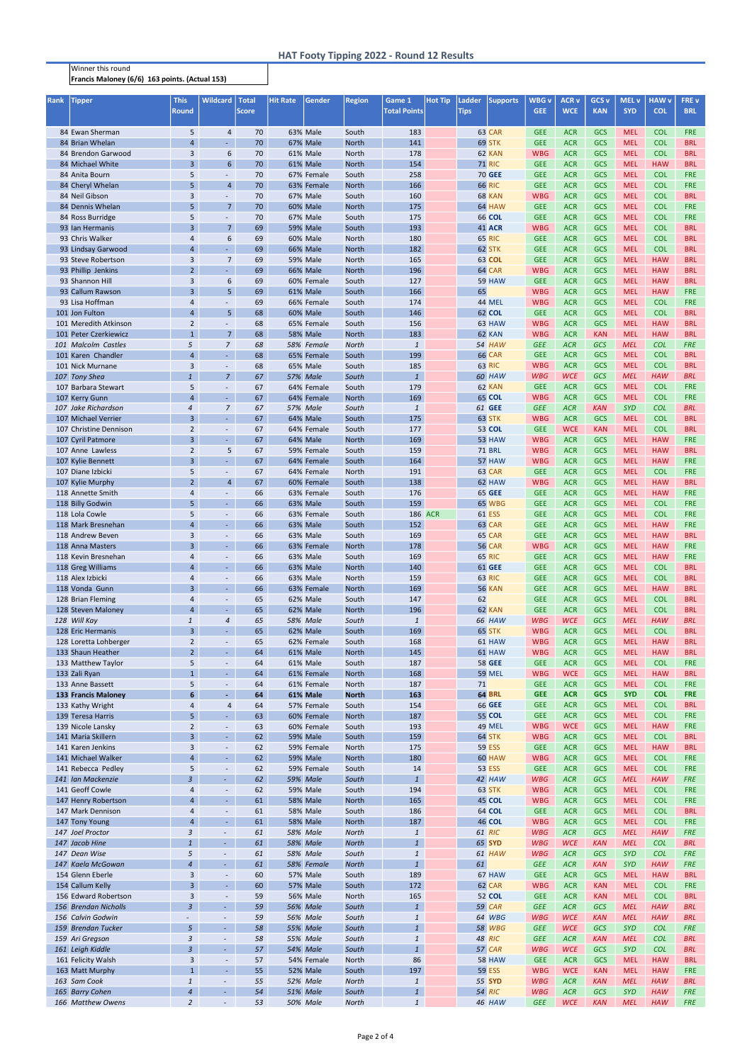Francis Maloney (6/6) 163 points. (Actual 153)

## Winner this round

| <b>Rank</b> | <b>Tipper</b>                              | <b>This</b><br><b>Round</b>      | <b>Wildcard</b>                            | <b>Total</b><br><b>Score</b> | <b>Hit Rate</b> | Gender                             | <b>Region</b>                | Game 1<br><b>Total Points</b> | <b>Hot Tip</b> | Ladder<br><b>Tips</b> | <b>Supports</b>         | <b>WBG</b> v<br><b>GEE</b> | <b>ACR v</b><br><b>WCE</b> | <b>GCS v</b><br><b>KAN</b> | <b>MEL v</b><br><b>SYD</b> | <b>HAW v</b><br><b>COL</b> | FRE v<br><b>BRL</b>      |
|-------------|--------------------------------------------|----------------------------------|--------------------------------------------|------------------------------|-----------------|------------------------------------|------------------------------|-------------------------------|----------------|-----------------------|-------------------------|----------------------------|----------------------------|----------------------------|----------------------------|----------------------------|--------------------------|
|             | 84 Ewan Sherman                            | 5                                | $\overline{4}$                             | 70                           |                 | 63% Male                           | South                        | 183                           |                |                       | 63 CAR                  | <b>GEE</b>                 | <b>ACR</b>                 | GCS                        | <b>MEL</b>                 | <b>COL</b>                 | <b>FRE</b>               |
|             | 84 Brian Whelan                            | $\overline{4}$                   | $\omega$                                   | 70                           |                 | <b>67% Male</b>                    | <b>North</b>                 | 141                           |                |                       | 69 STK                  | <b>GEE</b>                 | <b>ACR</b>                 | <b>GCS</b>                 | <b>MEL</b>                 | <b>COL</b>                 | <b>BRL</b>               |
|             | 84 Brendon Garwood                         | 3                                | 6                                          | 70                           |                 | 61% Male                           | <b>North</b>                 | 178                           |                |                       | 62 KAN                  | <b>WBG</b>                 | <b>ACR</b>                 | <b>GCS</b>                 | <b>MEL</b>                 | <b>COL</b>                 | <b>BRL</b>               |
|             | 84 Michael White                           | $\overline{3}$                   | 6                                          | 70                           |                 | 61% Male                           | <b>North</b>                 | 154                           |                |                       | <b>71 RIC</b>           | <b>GEE</b>                 | <b>ACR</b>                 | GCS                        | <b>MEL</b>                 | <b>HAW</b>                 | <b>BRL</b>               |
|             | 84 Anita Bourn                             | 5                                | $\overline{\phantom{a}}$                   | 70                           |                 | 67% Female                         | South                        | 258                           |                |                       | <b>70 GEE</b>           | <b>GEE</b>                 | <b>ACR</b>                 | GCS                        | <b>MEL</b>                 | <b>COL</b>                 | <b>FRE</b>               |
|             | 84 Cheryl Whelan                           | 5                                | $\overline{4}$                             | 70                           |                 | 63% Female                         | <b>North</b>                 | 166                           |                |                       | <b>66 RIC</b>           | <b>GEE</b>                 | <b>ACR</b>                 | GCS                        | <b>MEL</b>                 | <b>COL</b>                 | <b>FRE</b>               |
|             | 84 Neil Gibson                             | 3                                |                                            | 70                           |                 | <b>67% Male</b>                    | South                        | 160                           |                |                       | 68 KAN                  | <b>WBG</b>                 | <b>ACR</b>                 | GCS                        | <b>MEL</b>                 | <b>COL</b>                 | <b>BRL</b>               |
|             | 84 Dennis Whelan                           | 5                                | 7 <sup>7</sup>                             | 70                           |                 | 60% Male                           | <b>North</b>                 | 175                           |                |                       | 64 HAW                  | <b>GEE</b>                 | <b>ACR</b>                 | GCS                        | <b>MEL</b>                 | <b>COL</b>                 | <b>FRE</b>               |
|             | 84 Ross Burridge                           | 5                                | $\sim$                                     | 70                           |                 | 67% Male                           | South                        | 175                           |                |                       | <b>66 COL</b>           | <b>GEE</b>                 | <b>ACR</b>                 | GCS                        | <b>MEL</b>                 | <b>COL</b>                 | <b>FRE</b>               |
|             | 93 Ian Hermanis                            | $\overline{3}$                   | 7 <sup>1</sup>                             | 69                           |                 | <b>59% Male</b>                    | South                        | 193                           |                |                       | <b>41 ACR</b>           | <b>WBG</b>                 | <b>ACR</b>                 | GCS                        | <b>MEL</b>                 | <b>COL</b>                 | <b>BRL</b>               |
|             | 93 Chris Walker                            | $\overline{4}$<br>$\overline{4}$ | 6                                          | 69<br>69                     |                 | <b>60% Male</b><br><b>66% Male</b> | <b>North</b><br><b>North</b> | 180<br>182                    |                |                       | <b>65 RIC</b><br>62 STK | <b>GEE</b><br><b>GEE</b>   | <b>ACR</b><br><b>ACR</b>   | GCS<br>GCS                 | <b>MEL</b><br><b>MEL</b>   | <b>COL</b><br><b>COL</b>   | <b>BRL</b><br><b>BRL</b> |
|             | 93 Lindsay Garwood<br>93 Steve Robertson   | 3                                | $\overline{7}$                             | 69                           |                 | <b>59% Male</b>                    | North                        | 165                           |                |                       | 63 COL                  | <b>GEE</b>                 | <b>ACR</b>                 | GCS                        | <b>MEL</b>                 | <b>HAW</b>                 | <b>BRL</b>               |
|             | 93 Phillip Jenkins                         | $\overline{2}$                   |                                            | 69                           |                 | <b>66% Male</b>                    | <b>North</b>                 | 196                           |                |                       | 64 CAR                  | <b>WBG</b>                 | <b>ACR</b>                 | GCS                        | <b>MEL</b>                 | <b>HAW</b>                 | <b>BRL</b>               |
|             | 93 Shannon Hill                            | 3                                | 6                                          | 69                           |                 | 60% Female                         | South                        | 127                           |                |                       | <b>59 HAW</b>           | <b>GEE</b>                 | <b>ACR</b>                 | GCS                        | <b>MEL</b>                 | <b>HAW</b>                 | <b>BRL</b>               |
|             | 93 Callum Rawson                           | $\overline{3}$                   | 5 <sup>1</sup>                             | 69                           |                 | 61% Male                           | South                        | 166                           |                | 65                    |                         | <b>WBG</b>                 | <b>ACR</b>                 | GCS                        | <b>MEL</b>                 | <b>HAW</b>                 | <b>FRE</b>               |
|             | 93 Lisa Hoffman                            | 4                                |                                            | 69                           |                 | 66% Female                         | South                        | 174                           |                |                       | 44 MEL                  | <b>WBG</b>                 | <b>ACR</b>                 | GCS                        | <b>MEL</b>                 | <b>COL</b>                 | <b>FRE</b>               |
|             | 101 Jon Fulton                             | $\overline{4}$                   | 5 <sup>1</sup>                             | 68                           |                 | 60% Male                           | South                        | 146                           |                |                       | <b>62 COL</b>           | <b>GEE</b>                 | <b>ACR</b>                 | GCS                        | <b>MEL</b>                 | <b>COL</b>                 | <b>BRL</b>               |
|             | 101 Meredith Atkinson                      | $\overline{2}$                   |                                            | 68                           |                 | 65% Female                         | South                        | 156                           |                |                       | 63 HAW                  | <b>WBG</b>                 | <b>ACR</b>                 | GCS                        | <b>MEL</b>                 | <b>HAW</b>                 | <b>BRL</b>               |
|             | 101 Peter Czerkiewicz                      | $\mathbf{1}$                     | $7^{\circ}$                                | 68                           |                 | <b>58% Male</b>                    | <b>North</b>                 | 183                           |                |                       | 62 KAN                  | <b>WBG</b>                 | <b>ACR</b>                 | <b>KAN</b>                 | <b>MEL</b>                 | <b>HAW</b>                 | <b>BRL</b>               |
|             | 101 Malcolm Castles                        | 5                                | $\overline{7}$                             | 68                           |                 | 58% Female                         | <b>North</b>                 | $\mathbf{1}$                  |                |                       | 54 HAW                  | <b>GEE</b>                 | <b>ACR</b>                 | GCS                        | <b>MEL</b>                 | <b>COL</b>                 | <b>FRE</b>               |
|             | 101 Karen Chandler                         | $\overline{4}$                   | $\blacksquare$                             | 68                           |                 | 65% Female                         | South                        | 199                           |                |                       | <b>66 CAR</b>           | <b>GEE</b>                 | <b>ACR</b>                 | GCS                        | <b>MEL</b>                 | <b>COL</b>                 | <b>BRL</b>               |
|             | 101 Nick Murnane                           | 3                                | $\overline{\phantom{a}}$                   | 68                           |                 | <b>65% Male</b>                    | South                        | 185                           |                |                       | <b>63 RIC</b>           | <b>WBG</b>                 | <b>ACR</b>                 | GCS                        | <b>MEL</b>                 | <b>COL</b>                 | <b>BRL</b>               |
|             | 107 Tony Shea                              | $\mathbf{1}$                     | $\overline{7}$                             | 67                           |                 | <b>57% Male</b>                    | South                        | $\mathbf{1}$                  |                |                       | 60 HAW                  | <b>WBG</b>                 | <b>WCE</b>                 | <b>GCS</b>                 | <b>MEL</b>                 | <b>HAW</b>                 | <b>BRL</b>               |
|             | 107 Barbara Stewart<br>107 Kerry Gunn      | 5<br>$\overline{4}$              | $\overline{\phantom{a}}$<br>$\blacksquare$ | 67<br>67                     |                 | 64% Female<br>64% Female           | South<br><b>North</b>        | 179<br>169                    |                |                       | 62 KAN<br><b>65 COL</b> | <b>GEE</b><br><b>WBG</b>   | <b>ACR</b><br><b>ACR</b>   | GCS<br>GCS                 | <b>MEL</b><br><b>MEL</b>   | <b>COL</b><br><b>COL</b>   | <b>FRE</b><br><b>FRE</b> |
|             | 107 Jake Richardson                        | $\overline{4}$                   | $\overline{7}$                             | 67                           |                 | 57% Male                           | South                        | $\mathbf{1}$                  |                |                       | 61 GEE                  | <b>GEE</b>                 | <b>ACR</b>                 | <b>KAN</b>                 | <b>SYD</b>                 | <b>COL</b>                 | <b>BRL</b>               |
|             | 107 Michael Verrier                        | $\overline{3}$                   | $\blacksquare$                             | 67                           |                 | 64% Male                           | South                        | 175                           |                |                       | 63 STK                  | <b>WBG</b>                 | <b>ACR</b>                 | <b>GCS</b>                 | <b>MEL</b>                 | <b>COL</b>                 | <b>BRL</b>               |
|             | 107 Christine Dennison                     | $\overline{2}$                   | $\overline{\phantom{a}}$                   | 67                           |                 | 64% Female                         | South                        | 177                           |                |                       | 53 COL                  | <b>GEE</b>                 | <b>WCE</b>                 | <b>KAN</b>                 | <b>MEL</b>                 | <b>COL</b>                 | <b>BRL</b>               |
|             | 107 Cyril Patmore                          | $\overline{3}$                   | $\sim$                                     | 67                           |                 | 64% Male                           | <b>North</b>                 | 169                           |                |                       | 53 HAW                  | <b>WBG</b>                 | <b>ACR</b>                 | <b>GCS</b>                 | <b>MEL</b>                 | <b>HAW</b>                 | <b>FRE</b>               |
|             | 107 Anne Lawless                           | $\overline{2}$                   | 5                                          | 67                           |                 | 59% Female                         | South                        | 159                           |                |                       | <b>71 BRL</b>           | <b>WBG</b>                 | <b>ACR</b>                 | <b>GCS</b>                 | <b>MEL</b>                 | <b>HAW</b>                 | <b>BRL</b>               |
|             | 107 Kylie Bennett                          | $\overline{3}$                   | $\sim$                                     | 67                           |                 | 64% Female                         | South                        | 164                           |                |                       | 57 HAW                  | <b>WBG</b>                 | <b>ACR</b>                 | GCS                        | <b>MEL</b>                 | <b>HAW</b>                 | <b>FRE</b>               |
|             | 107 Diane Izbicki                          | 5                                | $\overline{\phantom{a}}$                   | 67                           |                 | 64% Female                         | North                        | 191                           |                |                       | 63 CAR                  | <b>GEE</b>                 | <b>ACR</b>                 | GCS                        | <b>MEL</b>                 | <b>COL</b>                 | <b>FRE</b>               |
|             | 107 Kylie Murphy                           | $2^{\circ}$                      | $\overline{4}$                             | 67                           |                 | 60% Female                         | South                        | 138                           |                |                       | 62 HAW                  | <b>WBG</b>                 | <b>ACR</b>                 | GCS                        | <b>MEL</b>                 | <b>HAW</b>                 | <b>BRL</b>               |
|             | 118 Annette Smith                          | $\overline{a}$                   |                                            | 66                           |                 | 63% Female                         | South                        | 176                           |                |                       | 65 GEE                  | <b>GEE</b>                 | <b>ACR</b>                 | GCS                        | <b>MEL</b>                 | <b>HAW</b>                 | <b>FRE</b>               |
|             | 118 Billy Godwin                           | 5 <sup>1</sup>                   | $\omega$                                   | 66                           |                 | 63% Male                           | South                        | 159                           |                |                       | <b>65 WBG</b>           | <b>GEE</b>                 | <b>ACR</b>                 | GCS                        | <b>MEL</b>                 | <b>COL</b>                 | <b>FRE</b>               |
|             | 118 Lola Cowle                             | 5                                | $\overline{\phantom{a}}$                   | 66                           |                 | 63% Female                         | South                        |                               | <b>186 ACR</b> |                       | <b>61 ESS</b>           | <b>GEE</b>                 | <b>ACR</b>                 | <b>GCS</b>                 | <b>MEL</b>                 | <b>COL</b>                 | <b>FRE</b>               |
|             | 118 Mark Bresnehan<br>118 Andrew Beven     | $\overline{4}$<br>3              | $\blacksquare$<br>$\overline{\phantom{a}}$ | 66<br>66                     |                 | 63% Male<br>63% Male               | South<br>South               | 152<br>169                    |                |                       | 63 CAR<br>65 CAR        | <b>GEE</b><br><b>GEE</b>   | <b>ACR</b><br><b>ACR</b>   | <b>GCS</b><br>GCS          | <b>MEL</b><br><b>MEL</b>   | <b>HAW</b><br><b>HAW</b>   | <b>FRE</b><br><b>BRL</b> |
|             | 118 Anna Masters                           | $\overline{3}$                   | $\sim$                                     | 66                           |                 | 63% Female                         | <b>North</b>                 | 178                           |                |                       | <b>56 CAR</b>           | <b>WBG</b>                 | <b>ACR</b>                 | GCS                        | <b>MEL</b>                 | <b>HAW</b>                 | <b>FRE</b>               |
|             | 118 Kevin Bresnehan                        | 4                                | $\overline{\phantom{a}}$                   | 66                           |                 | <b>63% Male</b>                    | South                        | 169                           |                |                       | <b>65 RIC</b>           | <b>GEE</b>                 | <b>ACR</b>                 | GCS                        | <b>MEL</b>                 | <b>HAW</b>                 | <b>FRE</b>               |
|             | 118 Greg Williams                          | $\overline{4}$                   | $\sim$                                     | 66                           |                 | 63% Male                           | <b>North</b>                 | 140                           |                |                       | <b>61 GEE</b>           | <b>GEE</b>                 | <b>ACR</b>                 | GCS                        | <b>MEL</b>                 | <b>COL</b>                 | <b>BRL</b>               |
|             | 118 Alex Izbicki                           | $\overline{4}$                   | $\overline{\phantom{a}}$                   | 66                           |                 | 63% Male                           | <b>North</b>                 | 159                           |                |                       | <b>63 RIC</b>           | <b>GEE</b>                 | <b>ACR</b>                 | GCS                        | <b>MEL</b>                 | <b>COL</b>                 | <b>BRL</b>               |
|             | 118 Vonda Gunn                             | $\overline{3}$                   | $\omega$                                   | 66                           |                 | 63% Female                         | <b>North</b>                 | 169                           |                |                       | <b>56 KAN</b>           | <b>GEE</b>                 | <b>ACR</b>                 | GCS                        | <b>MEL</b>                 | <b>HAW</b>                 | <b>BRL</b>               |
|             | 128 Brian Fleming                          | $\overline{4}$                   | $\sim$                                     | 65                           |                 | 62% Male                           | South                        | 147                           |                | 62                    |                         | <b>GEE</b>                 | <b>ACR</b>                 | GCS                        | <b>MEL</b>                 | <b>COL</b>                 | <b>BRL</b>               |
|             | 128 Steven Maloney                         | $\overline{4}$                   | $\sim$                                     | 65                           |                 | 62% Male                           | <b>North</b>                 | 196                           |                |                       | 62 KAN                  | <b>GEE</b>                 | <b>ACR</b>                 | GCS                        | <b>MEL</b>                 | <b>COL</b>                 | <b>BRL</b>               |
|             | 128 Will Kay                               | $\mathbf{1}$                     | $\sqrt{4}$                                 | 65                           |                 | <b>58% Male</b>                    | South                        | $\mathbf{1}$                  |                |                       | 66 HAW                  | <b>WBG</b>                 | <b>WCE</b>                 | <b>GCS</b>                 | <b>MEL</b>                 | <b>HAW</b>                 | <b>BRL</b>               |
|             | 128 Eric Hermanis                          | $\overline{3}$<br>$\overline{2}$ | $\blacksquare$<br>$\overline{\phantom{a}}$ | 65<br>65                     |                 | 62% Male<br>62% Female             | South<br>South               | 169<br>168                    |                |                       | 65 STK<br>61 HAW        | <b>WBG</b><br><b>WBG</b>   | <b>ACR</b><br><b>ACR</b>   | GCS<br>GCS                 | <b>MEL</b><br><b>MEL</b>   | <b>COL</b><br><b>HAW</b>   | <b>BRL</b><br><b>BRL</b> |
|             | 128 Loretta Lohberger<br>133 Shaun Heather | $\overline{2}$                   | $\sim$                                     | 64                           |                 | 61% Male                           | <b>North</b>                 | 145                           |                |                       | 61 HAW                  | <b>WBG</b>                 | <b>ACR</b>                 | GCS                        | <b>MEL</b>                 | <b>HAW</b>                 | <b>BRL</b>               |
|             | 133 Matthew Taylor                         | 5                                | $\overline{\phantom{a}}$                   | 64                           |                 | 61% Male                           | South                        | 187                           |                |                       | <b>58 GEE</b>           | <b>GEE</b>                 | <b>ACR</b>                 | GCS                        | <b>MEL</b>                 | <b>COL</b>                 | <b>FRE</b>               |
|             | 133 Zali Ryan                              | $\mathbf{1}$                     | $\blacksquare$                             | 64                           |                 | 61% Female                         | <b>North</b>                 | 168                           |                |                       | <b>59 MEL</b>           | <b>WBG</b>                 | <b>WCE</b>                 | <b>GCS</b>                 | <b>MEL</b>                 | <b>HAW</b>                 | <b>BRL</b>               |
|             | 133 Anne Bassett                           | 5                                | $\overline{\phantom{a}}$                   | 64                           |                 | 61% Female                         | North                        | 187                           |                | 71                    |                         | <b>GEE</b>                 | <b>ACR</b>                 | <b>GCS</b>                 | <b>MEL</b>                 | <b>COL</b>                 | <b>FRE</b>               |
|             | <b>133 Francis Maloney</b>                 | 6                                | ٠                                          | 64                           |                 | 61% Male                           | <b>North</b>                 | 163                           |                |                       | <b>64 BRL</b>           | <b>GEE</b>                 | <b>ACR</b>                 | <b>GCS</b>                 | <b>SYD</b>                 | <b>COL</b>                 | <b>FRE</b>               |
|             | 133 Kathy Wright                           | 4                                | 4                                          | 64                           |                 | 57% Female                         | South                        | 154                           |                |                       | 66 GEE                  | <b>GEE</b>                 | <b>ACR</b>                 | GCS                        | <b>MEL</b>                 | <b>COL</b>                 | <b>BRL</b>               |
|             | 139 Teresa Harris                          | 5                                | $\sim$                                     | 63                           |                 | 60% Female                         | <b>North</b>                 | 187                           |                |                       | <b>55 COL</b>           | <b>GEE</b>                 | <b>ACR</b>                 | GCS                        | <b>MEL</b>                 | <b>COL</b>                 | <b>FRE</b>               |
|             | 139 Nicole Lansky                          | $\overline{2}$                   | $\overline{\phantom{a}}$                   | 63                           |                 | 60% Female                         | South                        | 193                           |                |                       | 49 MEL                  | <b>WBG</b>                 | <b>WCE</b>                 | GCS                        | <b>MEL</b>                 | <b>HAW</b>                 | <b>FRE</b>               |
|             | 141 Maria Skillern                         | $\overline{3}$                   | $\blacksquare$                             | 62                           |                 | <b>59% Male</b>                    | South                        | 159                           |                |                       | 64 STK                  | <b>WBG</b>                 | <b>ACR</b>                 | GCS                        | <b>MEL</b>                 | <b>COL</b>                 | <b>BRL</b>               |
|             | 141 Karen Jenkins                          | 3                                | $\overline{\phantom{a}}$                   | 62                           |                 | 59% Female                         | North                        | 175                           |                |                       | <b>59 ESS</b>           | <b>GEE</b>                 | <b>ACR</b>                 | GCS                        | <b>MEL</b>                 | <b>HAW</b>                 | <b>BRL</b>               |
|             | 141 Michael Walker<br>141 Rebecca Pedley   | $\overline{\mathbf{r}}$          | $\sim$                                     | 62<br>62                     |                 | <b>59% Male</b><br>59% Female      | <b>North</b><br>South        | 180<br>14                     |                |                       | 60 HAW<br><b>53 ESS</b> | <b>WBG</b><br><b>GEE</b>   | <b>ACR</b><br><b>ACR</b>   | GCS<br>GCS                 | <b>MEL</b><br><b>MEL</b>   | <b>COL</b><br><b>COL</b>   | <b>FRE</b><br><b>FRE</b> |
|             | 141 Ian Mackenzie                          | 5<br>$\mathfrak{Z}$              | $\blacksquare$<br>$\omega$                 | 62                           |                 | <b>59% Male</b>                    | South                        | $\mathbf{1}$                  |                |                       | 42 HAW                  | <b>WBG</b>                 | <b>ACR</b>                 | GCS                        | <b>MEL</b>                 | <b>HAW</b>                 | <b>FRE</b>               |
|             | 141 Geoff Cowle                            | 4                                | $\overline{\phantom{a}}$                   | 62                           |                 | <b>59% Male</b>                    | South                        | 194                           |                |                       | 63 STK                  | <b>WBG</b>                 | <b>ACR</b>                 | GCS                        | <b>MEL</b>                 | <b>COL</b>                 | <b>FRE</b>               |
|             | 147 Henry Robertson                        | $\overline{4}$                   | $\sim$                                     | 61                           |                 | <b>58% Male</b>                    | <b>North</b>                 | 165                           |                |                       | <b>45 COL</b>           | <b>WBG</b>                 | <b>ACR</b>                 | GCS                        | <b>MEL</b>                 | <b>COL</b>                 | <b>FRE</b>               |
|             | 147 Mark Dennison                          | 4                                | $\overline{\phantom{a}}$                   | 61                           |                 | <b>58% Male</b>                    | South                        | 186                           |                |                       | 64 COL                  | <b>GEE</b>                 | <b>ACR</b>                 | GCS                        | <b>MEL</b>                 | <b>COL</b>                 | <b>BRL</b>               |
|             | 147 Tony Young                             | $\overline{a}$                   | $\sim$                                     | 61                           |                 | <b>58% Male</b>                    | <b>North</b>                 | 187                           |                |                       | <b>46 COL</b>           | <b>WBG</b>                 | <b>ACR</b>                 | GCS                        | <b>MEL</b>                 | <b>COL</b>                 | <b>FRE</b>               |
|             | 147 Joel Proctor                           | 3                                | ۰                                          | 61                           |                 | 58% Male                           | <b>North</b>                 | $\mathbf{1}$                  |                |                       | 61 RIC                  | <b>WBG</b>                 | <b>ACR</b>                 | GCS                        | <b>MEL</b>                 | <b>HAW</b>                 | <b>FRE</b>               |
|             | 147 Jacob Hine                             | $\mathbf{1}$                     | $\omega$                                   | 61                           |                 | <b>58% Male</b>                    | <b>North</b>                 | $\mathbf{1}$                  |                |                       | 65 SYD                  | <b>WBG</b>                 | <b>WCE</b>                 | <b>KAN</b>                 | <b>MEL</b>                 | <b>COL</b>                 | <b>BRL</b>               |
|             | 147 Dean Wise                              | 5                                | $\overline{\phantom{a}}$                   | 61                           |                 | 58% Male                           | South                        | $\mathbf{1}$                  |                |                       | 61 HAW                  | <b>WBG</b>                 | <b>ACR</b>                 | GCS                        | <b>SYD</b>                 | <b>COL</b>                 | <b>FRE</b>               |
|             | 147 Kaela McGowan                          | $\overline{4}$                   | $\omega$                                   | 61                           |                 | 58% Female                         | <b>North</b>                 | $\mathbf{1}$                  |                | 61                    |                         | <b>GEE</b>                 | <b>ACR</b>                 | <b>KAN</b>                 | <b>SYD</b>                 | <b>HAW</b>                 | <b>FRE</b>               |
|             | 154 Glenn Eberle                           | 3                                | $\overline{\phantom{a}}$                   | 60                           |                 | <b>57% Male</b>                    | South                        | 189                           |                |                       | 67 HAW                  | <b>GEE</b>                 | <b>ACR</b>                 | GCS                        | <b>MEL</b>                 | <b>HAW</b>                 | <b>BRL</b>               |
|             | 154 Callum Kelly<br>156 Edward Robertson   | $\overline{3}$<br>$\overline{3}$ | $\sim$                                     | 60<br>59                     |                 | <b>57% Male</b><br><b>56% Male</b> | South<br><b>North</b>        | 172<br>165                    |                |                       | 62 CAR<br>52 COL        | <b>WBG</b><br><b>GEE</b>   | <b>ACR</b><br><b>ACR</b>   | <b>KAN</b><br><b>KAN</b>   | <b>MEL</b><br><b>MEL</b>   | <b>COL</b><br><b>COL</b>   | <b>FRE</b><br><b>BRL</b> |
|             | 156 Brendan Nicholls                       | $\mathfrak{Z}$                   | $\blacksquare$                             | 59                           |                 | <b>56% Male</b>                    | South                        | $\mathbf{1}$                  |                |                       | <b>59 CAR</b>           | <b>GEE</b>                 | <b>ACR</b>                 | <b>GCS</b>                 | <b>MEL</b>                 | <b>HAW</b>                 | <b>BRL</b>               |
|             | 156 Calvin Godwin                          | $\overline{\phantom{0}}$         | $\overline{\phantom{a}}$                   | 59                           |                 | 56% Male                           | South                        | $\mathbf{1}$                  |                |                       | 64 WBG                  | <b>WBG</b>                 | <b>WCE</b>                 | <b>KAN</b>                 | <b>MEL</b>                 | <b>HAW</b>                 | <b>BRL</b>               |
|             | 159 Brendan Tucker                         | 5 <sup>5</sup>                   | ÷.                                         | 58                           |                 | <b>55% Male</b>                    | South                        | $\mathbf{1}$                  |                |                       | <b>58 WBG</b>           | <b>GEE</b>                 | <b>WCE</b>                 | <b>GCS</b>                 | <b>SYD</b>                 | <b>COL</b>                 | <b>FRE</b>               |
|             | 159 Ari Gregson                            | $\mathfrak{Z}$                   | $\overline{\phantom{a}}$                   | 58                           |                 | 55% Male                           | South                        | $\mathbf{1}$                  |                |                       | 48 RIC                  | <b>GEE</b>                 | <b>ACR</b>                 | <b>KAN</b>                 | <b>MEL</b>                 | <b>COL</b>                 | <b>BRL</b>               |
|             | 161 Leigh Kiddle                           | $\mathbf{3}$                     | $\blacksquare$                             | 57                           |                 | <b>54% Male</b>                    | South                        | $\mathbf{1}$                  |                |                       | 57 CAR                  | <b>WBG</b>                 | <b>WCE</b>                 | <b>GCS</b>                 | <b>SYD</b>                 | <b>COL</b>                 | <b>BRL</b>               |
|             | 161 Felicity Walsh                         | 3                                | $\overline{\phantom{a}}$                   | 57                           |                 | 54% Female                         | North                        | 86                            |                |                       | <b>58 HAW</b>           | <b>GEE</b>                 | <b>ACR</b>                 | GCS                        | <b>MEL</b>                 | <b>HAW</b>                 | <b>BRL</b>               |
|             | 163 Matt Murphy                            | $\mathbf{1}$                     | $\overline{\phantom{a}}$                   | 55                           |                 | 52% Male                           | South                        | 197                           |                |                       | <b>59 ESS</b>           | <b>WBG</b>                 | <b>WCE</b>                 | KAN                        | <b>MEL</b>                 | <b>HAW</b>                 | <b>FRE</b>               |
|             | 163 Sam Cook                               | $\mathbf{1}$                     | ◆                                          | 55                           |                 | 52% Male                           | <b>North</b>                 | $\mathbf{1}$                  |                |                       | 55 SYD                  | <b>WBG</b>                 | <b>ACR</b>                 | <b>KAN</b>                 | <b>MEL</b>                 | <b>HAW</b>                 | <b>BRL</b>               |
|             | 165 Barry Cohen<br>166 Matthew Owens       | $\overline{4}$<br>$\overline{2}$ | $\sim$<br>◆                                | 54<br>53                     |                 | <b>51% Male</b><br><b>50% Male</b> | South<br><b>North</b>        | $\mathbf{1}$<br>$\mathbf{1}$  |                |                       | 54 RIC<br>46 HAW        | WBG<br>GEE                 | <b>ACR</b><br><b>WCE</b>   | GCS<br><b>KAN</b>          | <b>SYD</b><br><b>MEL</b>   | <b>HAW</b><br><b>HAW</b>   | <b>FRE</b><br><b>FRE</b> |
|             |                                            |                                  |                                            |                              |                 |                                    |                              |                               |                |                       |                         |                            |                            |                            |                            |                            |                          |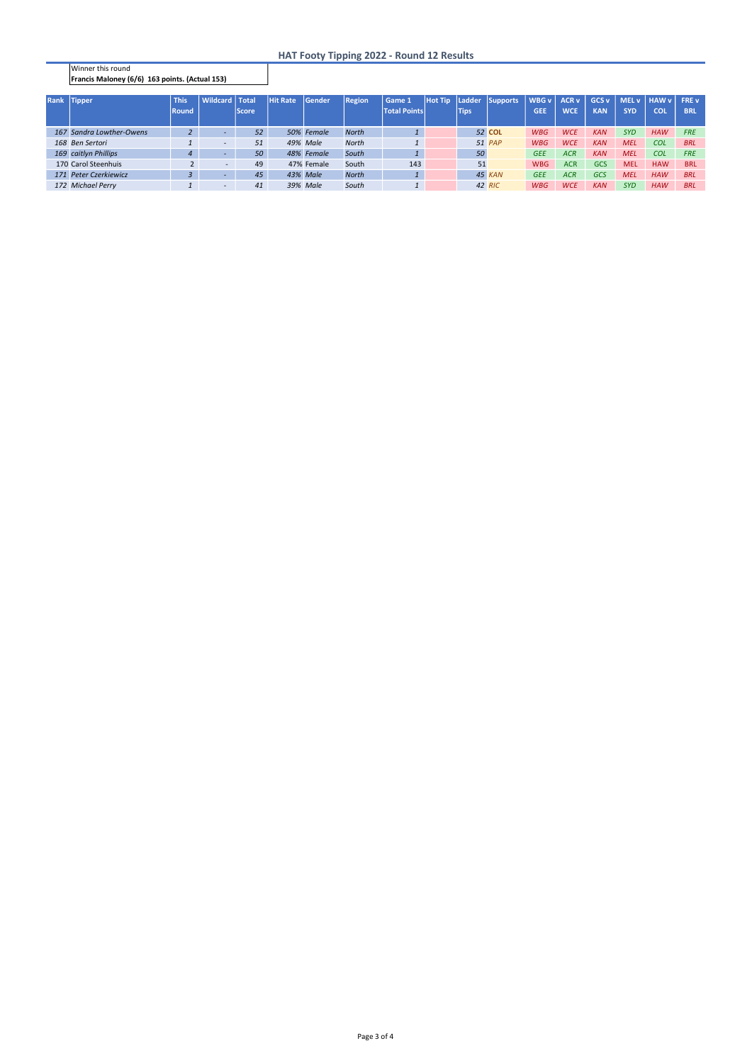Winner this round Francis Maloney (6/6) 163 points. (Actual 153)

## HAT Footy Tipping 2022 - Round 12 Results

| Rank Tipper              | <b>This</b>  | <b>Wildcard</b>          | <b>Total</b> | <b>Hit Rate</b> | <b>Sender</b> | <b>Region</b> | Game 1              | <b>Hot Tip</b> | Ladder      | Supports | WBG v      | <b>ACR v</b> | GCS <sub>v</sub> | MELv       | HAW v      | <b>FREV</b> |
|--------------------------|--------------|--------------------------|--------------|-----------------|---------------|---------------|---------------------|----------------|-------------|----------|------------|--------------|------------------|------------|------------|-------------|
|                          | <b>Round</b> |                          | <b>Score</b> |                 |               |               | <b>Total Points</b> |                | <b>Tips</b> |          | <b>GEE</b> | <b>WCE</b>   | <b>KAN</b>       | <b>SYD</b> | <b>COL</b> | <b>BRL</b>  |
|                          |              |                          |              |                 |               |               |                     |                |             |          |            |              |                  |            |            |             |
| 167 Sandra Lowther-Owens |              | $\overline{\phantom{a}}$ | 52           |                 | 50% Female    | <b>North</b>  |                     |                |             | 52 COL   | <b>WBG</b> | <b>WCE</b>   | <b>KAN</b>       | <b>SYD</b> | <b>HAW</b> | <b>FRE</b>  |
| 168 Ben Sertori          |              | $\overline{\phantom{a}}$ | 51           |                 | 49% Male      | <b>North</b>  |                     |                |             | 51 PAP   | <b>WBG</b> | <b>WCE</b>   | <b>KAN</b>       | <b>MEL</b> | <b>COL</b> | <b>BRL</b>  |
| 169 caitlyn Phillips     |              | $\sim$                   | 50           |                 | 48% Female    | South         |                     |                | 50          |          | <b>GEE</b> | <b>ACR</b>   | <b>KAN</b>       | <b>MEL</b> | <b>COL</b> | <b>FRE</b>  |
| 170 Carol Steenhuis      |              | $\overline{\phantom{a}}$ | 49           |                 | 47% Female    | South         | 143                 |                | 51          |          | <b>WBG</b> | <b>ACR</b>   | GCS              | <b>MEL</b> | <b>HAW</b> | <b>BRL</b>  |
| 171 Peter Czerkiewicz    |              | $\sim$                   | 45           |                 | 43% Male      | <b>North</b>  |                     |                |             | 45 KAN   | <b>GEE</b> | <b>ACR</b>   | <b>GCS</b>       | <b>MEL</b> | <b>HAW</b> | <b>BRL</b>  |
| 172 Michael Perry        |              | $\overline{\phantom{0}}$ | 41           |                 | 39% Male      | South         |                     |                |             | 42 RIC   | <b>WBG</b> | <b>WCE</b>   | <b>KAN</b>       | <b>SYD</b> | <b>HAW</b> | <b>BRL</b>  |